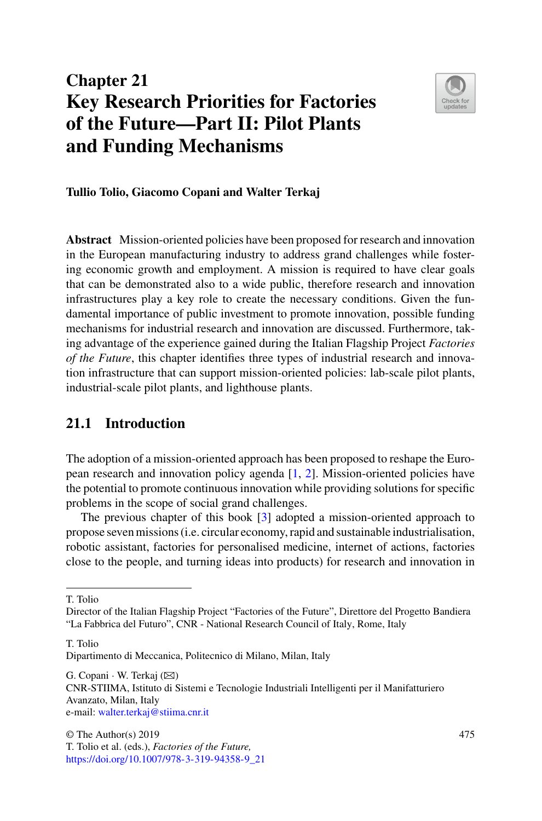# **Chapter 21 Key Research Priorities for Factories of the Future—Part II: Pilot Plants and Funding Mechanisms**



**Tullio Tolio, Giacomo Copani and Walter Terkaj**

**Abstract** Mission-oriented policies have been proposed for research and innovation in the European manufacturing industry to address grand challenges while fostering economic growth and employment. A mission is required to have clear goals that can be demonstrated also to a wide public, therefore research and innovation infrastructures play a key role to create the necessary conditions. Given the fundamental importance of public investment to promote innovation, possible funding mechanisms for industrial research and innovation are discussed. Furthermore, taking advantage of the experience gained during the Italian Flagship Project *Factories of the Future*, this chapter identifies three types of industrial research and innovation infrastructure that can support mission-oriented policies: lab-scale pilot plants, industrial-scale pilot plants, and lighthouse plants.

# **21.1 Introduction**

The adoption of a mission-oriented approach has been proposed to reshape the European research and innovation policy agenda [\[1,](#page-18-0) [2\]](#page-18-1). Mission-oriented policies have the potential to promote continuous innovation while providing solutions for specific problems in the scope of social grand challenges.

The previous chapter of this book [\[3\]](#page-18-2) adopted a mission-oriented approach to propose seven missions (i.e. circular economy, rapid and sustainable industrialisation, robotic assistant, factories for personalised medicine, internet of actions, factories close to the people, and turning ideas into products) for research and innovation in

T. Tolio

T. Tolio

G. Copani · W. Terkaj (B) CNR-STIIMA, Istituto di Sistemi e Tecnologie Industriali Intelligenti per il Manifatturiero Avanzato, Milan, Italy e-mail: [walter.terkaj@stiima.cnr.it](mailto:walter.terkaj@stiima.cnr.it)

Director of the Italian Flagship Project "Factories of the Future", Direttore del Progetto Bandiera "La Fabbrica del Futuro", CNR - National Research Council of Italy, Rome, Italy

Dipartimento di Meccanica, Politecnico di Milano, Milan, Italy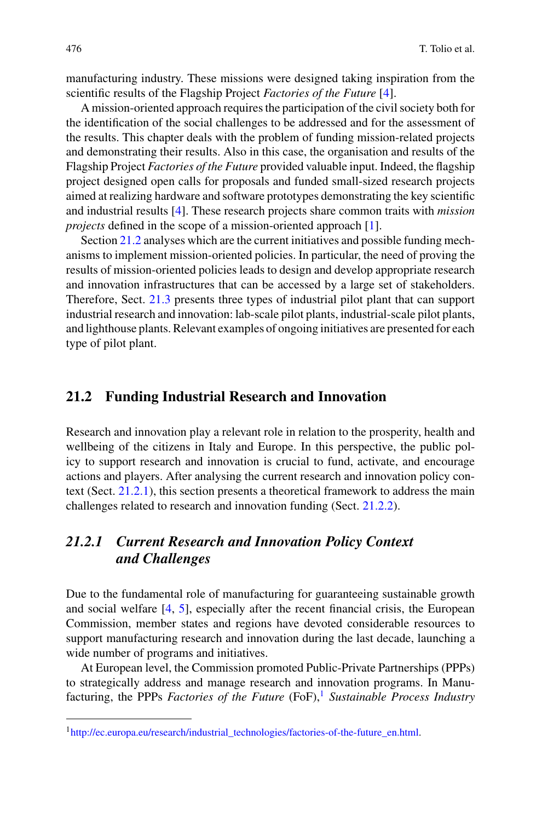manufacturing industry. These missions were designed taking inspiration from the scientific results of the Flagship Project *Factories of the Future* [\[4\]](#page-18-3).

A mission-oriented approach requires the participation of the civil society both for the identification of the social challenges to be addressed and for the assessment of the results. This chapter deals with the problem of funding mission-related projects and demonstrating their results. Also in this case, the organisation and results of the Flagship Project *Factories of the Future* provided valuable input. Indeed, the flagship project designed open calls for proposals and funded small-sized research projects aimed at realizing hardware and software prototypes demonstrating the key scientific and industrial results [\[4\]](#page-18-3). These research projects share common traits with *mission projects* defined in the scope of a mission-oriented approach [\[1\]](#page-18-0).

Section [21.2](#page-1-0) analyses which are the current initiatives and possible funding mechanisms to implement mission-oriented policies. In particular, the need of proving the results of mission-oriented policies leads to design and develop appropriate research and innovation infrastructures that can be accessed by a large set of stakeholders. Therefore, Sect. [21.3](#page-6-0) presents three types of industrial pilot plant that can support industrial research and innovation: lab-scale pilot plants, industrial-scale pilot plants, and lighthouse plants. Relevant examples of ongoing initiatives are presented for each type of pilot plant.

### <span id="page-1-0"></span>**21.2 Funding Industrial Research and Innovation**

Research and innovation play a relevant role in relation to the prosperity, health and wellbeing of the citizens in Italy and Europe. In this perspective, the public policy to support research and innovation is crucial to fund, activate, and encourage actions and players. After analysing the current research and innovation policy context (Sect. [21.2.1\)](#page-1-1), this section presents a theoretical framework to address the main challenges related to research and innovation funding (Sect. [21.2.2\)](#page-5-0).

# <span id="page-1-1"></span>*21.2.1 Current Research and Innovation Policy Context and Challenges*

Due to the fundamental role of manufacturing for guaranteeing sustainable growth and social welfare [\[4,](#page-18-3) [5\]](#page-18-4), especially after the recent financial crisis, the European Commission, member states and regions have devoted considerable resources to support manufacturing research and innovation during the last decade, launching a wide number of programs and initiatives.

At European level, the Commission promoted Public-Private Partnerships (PPPs) to strategically address and manage research and innovation programs. In Manufacturing, the PPPs *Factories of the Future* (FoF),<sup>1</sup> Sustainable *Process Industry* 

<span id="page-1-2"></span>[<sup>1</sup>http://ec.europa.eu/research/industrial\\_technologies/factories-of-the-future\\_en.html.](http://ec.europa.eu/research/industrial_technologies/factories-of-the-future_en.html)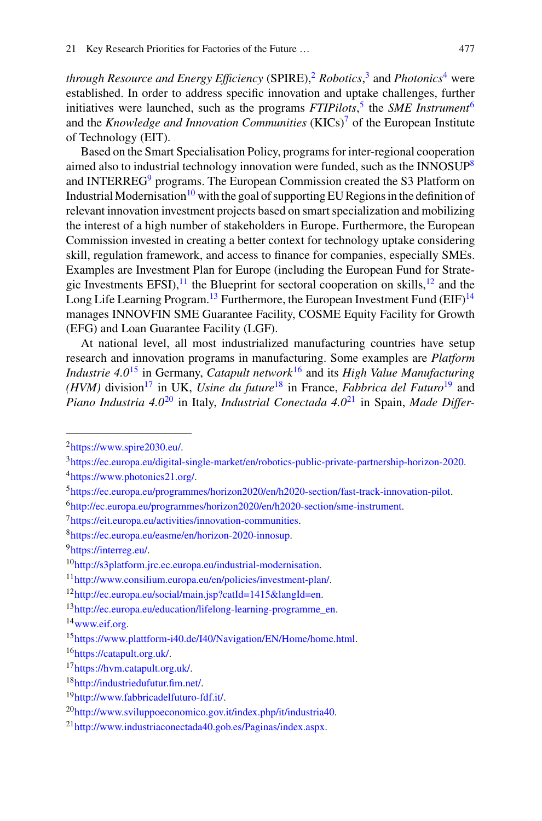*through Resource and Energy Efficiency* (SPIRE),[2](#page-2-0) *Robotics*, [3](#page-2-1) and *Photonics*[4](#page-2-2) were established. In order to address specific innovation and uptake challenges, further initiatives were launched, such as the programs *FTIPilots*,<sup>[5](#page-2-3)</sup> the *SME Instrument*<sup>[6](#page-2-4)</sup> and the *Knowledge and Innovation Communities* (KICs[\)7](#page-2-5) of the European Institute of Technology (EIT).

Based on the Smart Specialisation Policy, programs for inter-regional cooperation aimed also to industrial technology innovation were funded, such as the INNOSU[P8](#page-2-6) and INTERREG<sup>[9](#page-2-7)</sup> programs. The European Commission created the S3 Platform on Industrial Modernisation<sup>[10](#page-2-8)</sup> with the goal of supporting EU Regions in the definition of relevant innovation investment projects based on smart specialization and mobilizing the interest of a high number of stakeholders in Europe. Furthermore, the European Commission invested in creating a better context for technology uptake considering skill, regulation framework, and access to finance for companies, especially SMEs. Examples are Investment Plan for Europe (including the European Fund for Strate-gic Investments EFSI), <sup>[11](#page-2-9)</sup> the Blueprint for sectoral cooperation on skills,  $\frac{12}{12}$  and the Long Life Learning Program.<sup>[13](#page-2-11)</sup> Furthermore, the European Investment Fund (EIF)<sup>[14](#page-2-12)</sup> manages INNOVFIN SME Guarantee Facility, COSME Equity Facility for Growth (EFG) and Loan Guarantee Facility (LGF).

At national level, all most industrialized manufacturing countries have setup research and innovation programs in manufacturing. Some examples are *Platform Industrie 4.0*[15](#page-2-13) in Germany, *Catapult network*[16](#page-2-14) and its *High Value Manufacturing (HVM)* division<sup>[17](#page-2-15)</sup> in UK, *Usine du future*<sup>[18](#page-2-16)</sup> in France, *Fabbrica del Futuro*<sup>[19](#page-2-17)</sup> and *Piano Industria 4.0*[20](#page-2-18) in Italy, *Industrial Conectada 4.0*[21](#page-2-19) in Spain, *Made Differ-*

<span id="page-2-0"></span>[<sup>2</sup>https://www.spire2030.eu/.](https://www.spire2030.eu/)

<span id="page-2-1"></span>[<sup>3</sup>https://ec.europa.eu/digital-single-market/en/robotics-public-private-partnership-horizon-2020.](https://ec.europa.eu/digital-single-market/en/robotics-public-private-partnership-horizon-2020)

<span id="page-2-2"></span>[<sup>4</sup>https://www.photonics21.org/.](https://www.photonics21.org/)

<span id="page-2-3"></span>[<sup>5</sup>https://ec.europa.eu/programmes/horizon2020/en/h2020-section/fast-track-innovation-pilot.](https://ec.europa.eu/programmes/horizon2020/en/h2020-section/fast-track-innovation-pilot)

<span id="page-2-4"></span>[<sup>6</sup>http://ec.europa.eu/programmes/horizon2020/en/h2020-section/sme-instrument.](http://ec.europa.eu/programmes/horizon2020/en/h2020-section/sme-instrument)

<span id="page-2-5"></span>[<sup>7</sup>https://eit.europa.eu/activities/innovation-communities.](https://eit.europa.eu/activities/innovation-communities)

<span id="page-2-6"></span>[<sup>8</sup>https://ec.europa.eu/easme/en/horizon-2020-innosup.](https://ec.europa.eu/easme/en/horizon-2020-innosup)

<span id="page-2-7"></span>[<sup>9</sup>https://interreg.eu/.](https://interreg.eu/)

<span id="page-2-8"></span><sup>1</sup>[0http://s3platform.jrc.ec.europa.eu/industrial-modernisation.](http://s3platform.jrc.ec.europa.eu/industrial-modernisation)

<span id="page-2-9"></span><sup>1</sup>[1http://www.consilium.europa.eu/en/policies/investment-plan/.](http://www.consilium.europa.eu/en/policies/investment-plan/)

<span id="page-2-10"></span><sup>1</sup>[2http://ec.europa.eu/social/main.jsp?catId=1415&langId=en.](http://ec.europa.eu/social/main.jsp?catId=1415&langId=en)

<span id="page-2-11"></span><sup>1</sup>[3http://ec.europa.eu/education/lifelong-learning-programme\\_en.](http://ec.europa.eu/education/lifelong-learning-programme_en)

<span id="page-2-12"></span><sup>&</sup>lt;sup>14</sup>www.eif.org.

<span id="page-2-13"></span><sup>1</sup>[5https://www.plattform-i40.de/I40/Navigation/EN/Home/home.html.](https://www.plattform-i40.de/I40/Navigation/EN/Home/home.html)

<span id="page-2-14"></span><sup>1</sup>[6https://catapult.org.uk/.](https://catapult.org.uk/)

<span id="page-2-15"></span><sup>1</sup>[7https://hvm.catapult.org.uk/.](https://hvm.catapult.org.uk/)

<span id="page-2-16"></span><sup>1</sup>[8http://industriedufutur.fim.net/.](http://industriedufutur.fim.net/)

<span id="page-2-17"></span><sup>1</sup>[9http://www.fabbricadelfuturo-fdf.it/.](http://www.fabbricadelfuturo-fdf.it/)

<span id="page-2-18"></span><sup>2</sup>[0http://www.sviluppoeconomico.gov.it/index.php/it/industria40.](http://www.sviluppoeconomico.gov.it/index.php/it/industria40)

<span id="page-2-19"></span><sup>2</sup>[1http://www.industriaconectada40.gob.es/Paginas/index.aspx.](http://www.industriaconectada40.gob.es/Paginas/index.aspx)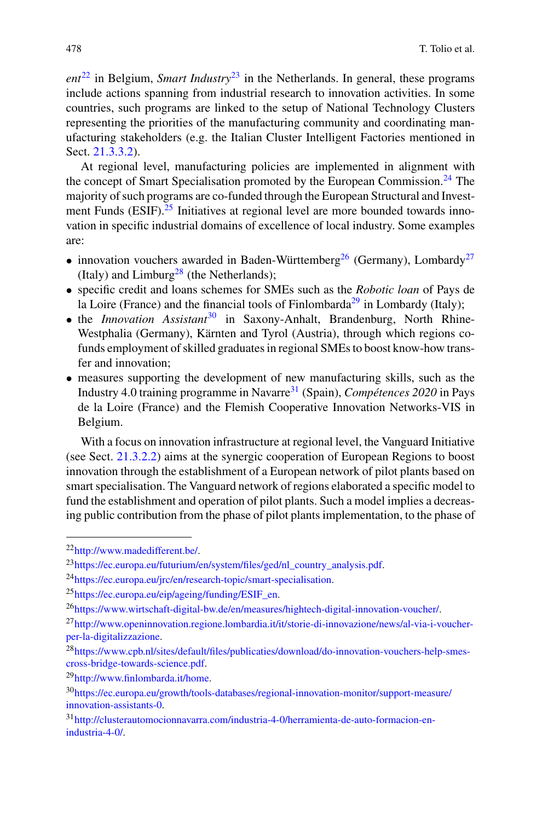$ent^{22}$  $ent^{22}$  $ent^{22}$  in Belgium, *Smart Industry*<sup>[23](#page-3-1)</sup> in the Netherlands. In general, these programs include actions spanning from industrial research to innovation activities. In some countries, such programs are linked to the setup of National Technology Clusters representing the priorities of the manufacturing community and coordinating manufacturing stakeholders (e.g. the Italian Cluster Intelligent Factories mentioned in Sect. [21.3.3.2\)](#page-16-0).

At regional level, manufacturing policies are implemented in alignment with the concept of Smart Specialisation promoted by the European Commission.<sup>[24](#page-3-2)</sup> The majority of such programs are co-funded through the European Structural and Investment Funds  $(ESIF).<sup>25</sup>$  Initiatives at regional level are more bounded towards innovation in specific industrial domains of excellence of local industry. Some examples are:

- innovation vouchers awarded in Baden-Württemberg<sup>26</sup> (Germany), Lombardy<sup>27</sup> (Italy) and Limburg<sup>[28](#page-3-6)</sup> (the Netherlands);
- specific credit and loans schemes for SMEs such as the *Robotic loan* of Pays de la Loire (France) and the financial tools of Finlombarda<sup>29</sup> in Lombardy (Italy);
- the *Innovation Assistant*<sup>[30](#page-3-8)</sup> in Saxony-Anhalt, Brandenburg, North Rhine-Westphalia (Germany), Kärnten and Tyrol (Austria), through which regions cofunds employment of skilled graduates in regional SMEs to boost know-how transfer and innovation;
- measures supporting the development of new manufacturing skills, such as the Industry 4.0 training programme in Navarr[e31](#page-3-9) (Spain), *Compétences 2020* in Pays de la Loire (France) and the Flemish Cooperative Innovation Networks-VIS in Belgium.

With a focus on innovation infrastructure at regional level, the Vanguard Initiative (see Sect. [21.3.2.2\)](#page-12-0) aims at the synergic cooperation of European Regions to boost innovation through the establishment of a European network of pilot plants based on smart specialisation. The Vanguard network of regions elaborated a specific model to fund the establishment and operation of pilot plants. Such a model implies a decreasing public contribution from the phase of pilot plants implementation, to the phase of

<span id="page-3-0"></span><sup>2</sup>[2http://www.madedifferent.be/.](http://www.madedifferent.be/)

<span id="page-3-1"></span><sup>2</sup>[3https://ec.europa.eu/futurium/en/system/files/ged/nl\\_country\\_analysis.pdf.](https://ec.europa.eu/futurium/en/system/files/ged/nl_country_analysis.pdf)

<span id="page-3-2"></span><sup>2</sup>[4https://ec.europa.eu/jrc/en/research-topic/smart-specialisation.](https://ec.europa.eu/jrc/en/research-topic/smart-specialisation)

<span id="page-3-3"></span><sup>2</sup>[5https://ec.europa.eu/eip/ageing/funding/ESIF\\_en.](https://ec.europa.eu/eip/ageing/funding/ESIF_en)

<span id="page-3-4"></span><sup>2</sup>[6https://www.wirtschaft-digital-bw.de/en/measures/hightech-digital-innovation-voucher/.](https://www.wirtschaft-digital-bw.de/en/measures/hightech-digital-innovation-voucher/)

<span id="page-3-5"></span>[<sup>27</sup>http://www.openinnovation.regione.lombardia.it/it/storie-di-innovazione/news/al-via-i-voucher](http://www.openinnovation.regione.lombardia.it/it/storie-di-innovazione/news/al-via-i-voucher-per-la-digitalizzazione)per-la-digitalizzazione.

<span id="page-3-6"></span>[<sup>28</sup>https://www.cpb.nl/sites/default/files/publicaties/download/do-innovation-vouchers-help-smes](https://www.cpb.nl/sites/default/files/publicaties/download/do-innovation-vouchers-help-smes-cross-bridge-towards-science.pdf)cross-bridge-towards-science.pdf.

<span id="page-3-7"></span><sup>2</sup>[9http://www.finlombarda.it/home.](http://www.finlombarda.it/home)

<span id="page-3-8"></span>[<sup>30</sup>https://ec.europa.eu/growth/tools-databases/regional-innovation-monitor/support-measure/](https://ec.europa.eu/growth/tools-databases/regional-innovation-monitor/support-measure/innovation-assistants-0) innovation-assistants-0.

<span id="page-3-9"></span>[<sup>31</sup>http://clusterautomocionnavarra.com/industria-4-0/herramienta-de-auto-formacion-en](http://clusterautomocionnavarra.com/industria-4-0/herramienta-de-auto-formacion-en-industria-4-0/)industria-4-0/.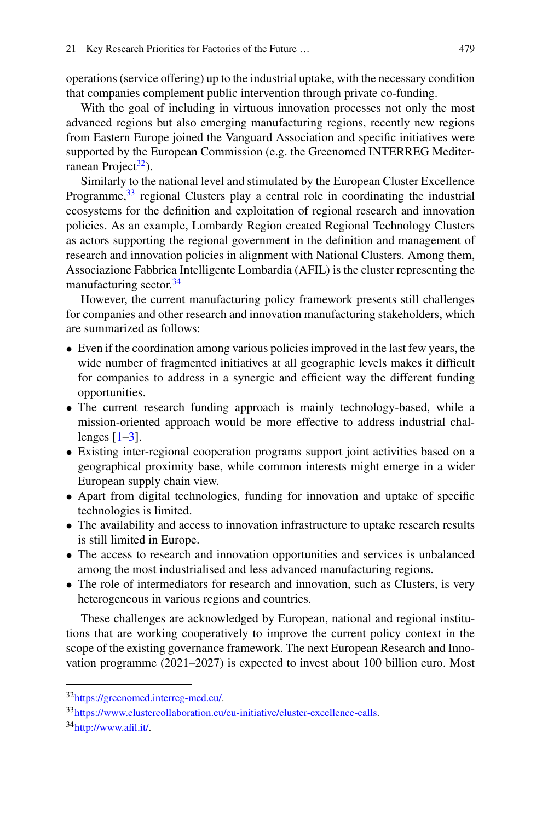operations (service offering) up to the industrial uptake, with the necessary condition that companies complement public intervention through private co-funding.

With the goal of including in virtuous innovation processes not only the most advanced regions but also emerging manufacturing regions, recently new regions from Eastern Europe joined the Vanguard Association and specific initiatives were supported by the European Commission (e.g. the Greenomed INTERREG Mediterranean Project $32$ ).

Similarly to the national level and stimulated by the European Cluster Excellence Programme,  $33$  regional Clusters play a central role in coordinating the industrial ecosystems for the definition and exploitation of regional research and innovation policies. As an example, Lombardy Region created Regional Technology Clusters as actors supporting the regional government in the definition and management of research and innovation policies in alignment with National Clusters. Among them, Associazione Fabbrica Intelligente Lombardia (AFIL) is the cluster representing the manufacturing sector.<sup>34</sup>

However, the current manufacturing policy framework presents still challenges for companies and other research and innovation manufacturing stakeholders, which are summarized as follows:

- Even if the coordination among various policies improved in the last few years, the wide number of fragmented initiatives at all geographic levels makes it difficult for companies to address in a synergic and efficient way the different funding opportunities.
- The current research funding approach is mainly technology-based, while a mission-oriented approach would be more effective to address industrial challenges  $[1-3]$  $[1-3]$ .
- Existing inter-regional cooperation programs support joint activities based on a geographical proximity base, while common interests might emerge in a wider European supply chain view.
- Apart from digital technologies, funding for innovation and uptake of specific technologies is limited.
- The availability and access to innovation infrastructure to uptake research results is still limited in Europe.
- The access to research and innovation opportunities and services is unbalanced among the most industrialised and less advanced manufacturing regions.
- The role of intermediators for research and innovation, such as Clusters, is very heterogeneous in various regions and countries.

These challenges are acknowledged by European, national and regional institutions that are working cooperatively to improve the current policy context in the scope of the existing governance framework. The next European Research and Innovation programme (2021–2027) is expected to invest about 100 billion euro. Most

<span id="page-4-0"></span><sup>3</sup>[2https://greenomed.interreg-med.eu/.](https://greenomed.interreg-med.eu/)

<span id="page-4-1"></span><sup>3</sup>[3https://www.clustercollaboration.eu/eu-initiative/cluster-excellence-calls.](https://www.clustercollaboration.eu/eu-initiative/cluster-excellence-calls)

<span id="page-4-2"></span> $34$ http://www.afil.it/.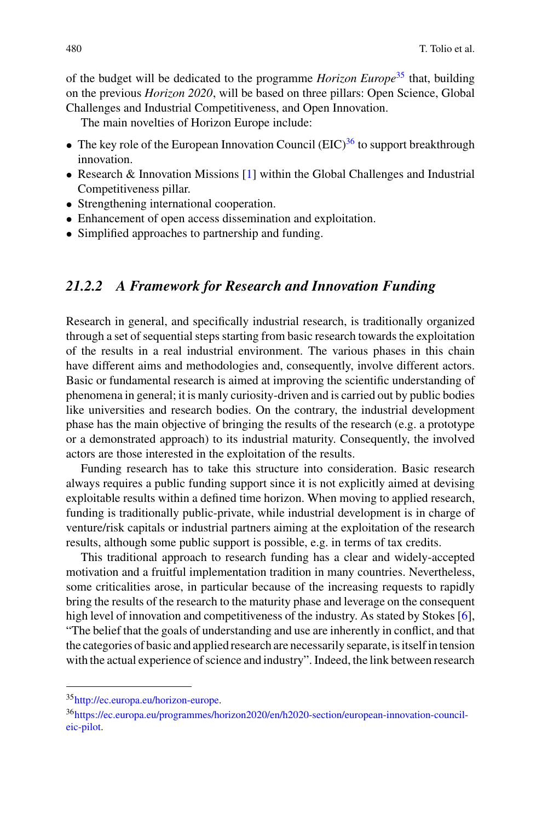of the budget will be dedicated to the programme *Horizon Europe*[35](#page-5-1) that, building on the previous *Horizon 2020*, will be based on three pillars: Open Science, Global Challenges and Industrial Competitiveness, and Open Innovation.

The main novelties of Horizon Europe include:

- The key role of the European Innovation Council (EIC)<sup>[36](#page-5-2)</sup> to support breakthrough innovation.
- Research & Innovation Missions [\[1\]](#page-18-0) within the Global Challenges and Industrial Competitiveness pillar.
- Strengthening international cooperation.
- Enhancement of open access dissemination and exploitation.
- Simplified approaches to partnership and funding.

### <span id="page-5-0"></span>*21.2.2 A Framework for Research and Innovation Funding*

Research in general, and specifically industrial research, is traditionally organized through a set of sequential steps starting from basic research towards the exploitation of the results in a real industrial environment. The various phases in this chain have different aims and methodologies and, consequently, involve different actors. Basic or fundamental research is aimed at improving the scientific understanding of phenomena in general; it is manly curiosity-driven and is carried out by public bodies like universities and research bodies. On the contrary, the industrial development phase has the main objective of bringing the results of the research (e.g. a prototype or a demonstrated approach) to its industrial maturity. Consequently, the involved actors are those interested in the exploitation of the results.

Funding research has to take this structure into consideration. Basic research always requires a public funding support since it is not explicitly aimed at devising exploitable results within a defined time horizon. When moving to applied research, funding is traditionally public-private, while industrial development is in charge of venture/risk capitals or industrial partners aiming at the exploitation of the research results, although some public support is possible, e.g. in terms of tax credits.

This traditional approach to research funding has a clear and widely-accepted motivation and a fruitful implementation tradition in many countries. Nevertheless, some criticalities arose, in particular because of the increasing requests to rapidly bring the results of the research to the maturity phase and leverage on the consequent high level of innovation and competitiveness of the industry. As stated by Stokes [\[6\]](#page-18-5), "The belief that the goals of understanding and use are inherently in conflict, and that the categories of basic and applied research are necessarily separate, is itself in tension with the actual experience of science and industry". Indeed, the link between research

<span id="page-5-1"></span><sup>3</sup>[5http://ec.europa.eu/horizon-europe.](http://ec.europa.eu/horizon-europe)

<span id="page-5-2"></span>[<sup>36</sup>https://ec.europa.eu/programmes/horizon2020/en/h2020-section/european-innovation-council](https://ec.europa.eu/programmes/horizon2020/en/h2020-section/european-innovation-council-eic-pilot)eic-pilot.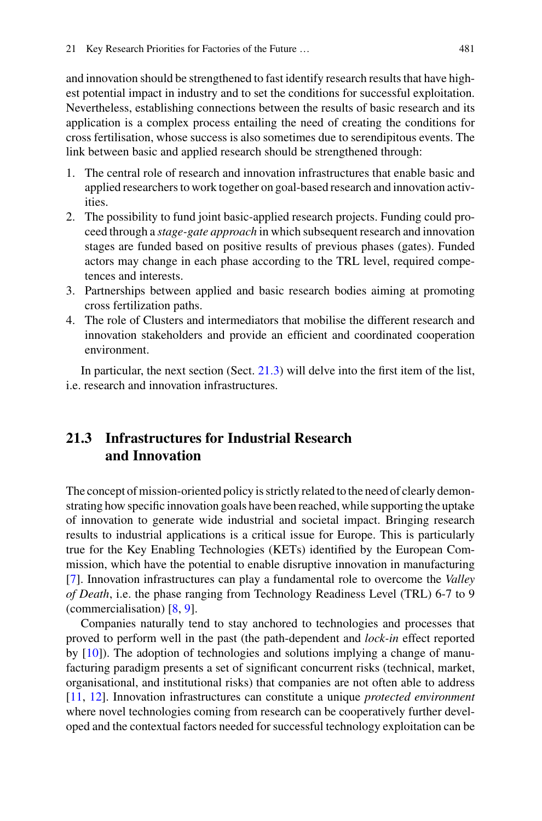and innovation should be strengthened to fast identify research results that have highest potential impact in industry and to set the conditions for successful exploitation. Nevertheless, establishing connections between the results of basic research and its application is a complex process entailing the need of creating the conditions for cross fertilisation, whose success is also sometimes due to serendipitous events. The link between basic and applied research should be strengthened through:

- 1. The central role of research and innovation infrastructures that enable basic and applied researchers to work together on goal-based research and innovation activities.
- 2. The possibility to fund joint basic-applied research projects. Funding could proceed through a *stage-gate approach* in which subsequent research and innovation stages are funded based on positive results of previous phases (gates). Funded actors may change in each phase according to the TRL level, required competences and interests.
- 3. Partnerships between applied and basic research bodies aiming at promoting cross fertilization paths.
- 4. The role of Clusters and intermediators that mobilise the different research and innovation stakeholders and provide an efficient and coordinated cooperation environment.

In particular, the next section (Sect. [21.3\)](#page-6-0) will delve into the first item of the list, i.e. research and innovation infrastructures.

# <span id="page-6-0"></span>**21.3 Infrastructures for Industrial Research and Innovation**

The concept of mission-oriented policy is strictly related to the need of clearly demonstrating how specific innovation goals have been reached, while supporting the uptake of innovation to generate wide industrial and societal impact. Bringing research results to industrial applications is a critical issue for Europe. This is particularly true for the Key Enabling Technologies (KETs) identified by the European Commission, which have the potential to enable disruptive innovation in manufacturing [\[7\]](#page-18-6). Innovation infrastructures can play a fundamental role to overcome the *Valley of Death*, i.e. the phase ranging from Technology Readiness Level (TRL) 6-7 to 9 (commercialisation) [\[8,](#page-18-7) [9\]](#page-18-8).

Companies naturally tend to stay anchored to technologies and processes that proved to perform well in the past (the path-dependent and *lock-in* effect reported by [\[10\]](#page-18-9)). The adoption of technologies and solutions implying a change of manufacturing paradigm presents a set of significant concurrent risks (technical, market, organisational, and institutional risks) that companies are not often able to address [\[11,](#page-18-10) [12\]](#page-18-11). Innovation infrastructures can constitute a unique *protected environment* where novel technologies coming from research can be cooperatively further developed and the contextual factors needed for successful technology exploitation can be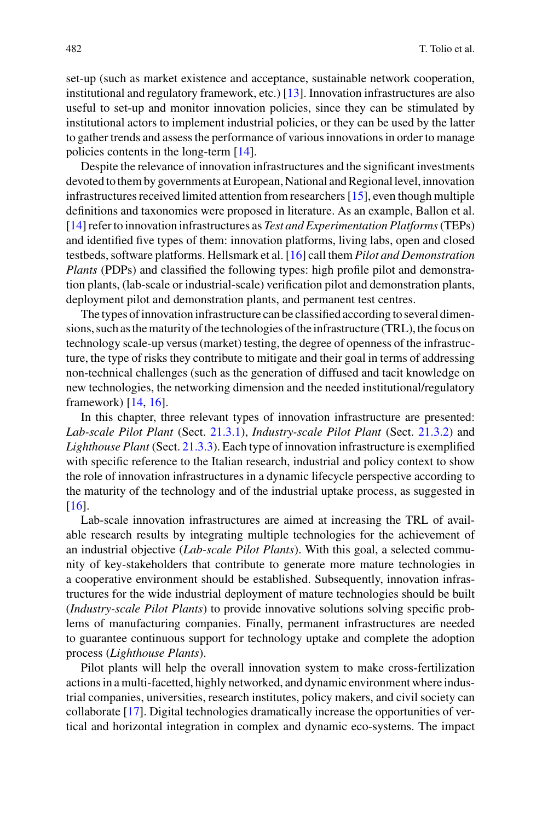set-up (such as market existence and acceptance, sustainable network cooperation, institutional and regulatory framework, etc.) [\[13\]](#page-18-12). Innovation infrastructures are also useful to set-up and monitor innovation policies, since they can be stimulated by institutional actors to implement industrial policies, or they can be used by the latter to gather trends and assess the performance of various innovations in order to manage policies contents in the long-term [\[14\]](#page-18-13).

Despite the relevance of innovation infrastructures and the significant investments devoted to them by governments at European, National and Regional level, innovation infrastructures received limited attention from researchers [\[15\]](#page-18-14), even though multiple definitions and taxonomies were proposed in literature. As an example, Ballon et al. [\[14\]](#page-18-13) refer to innovation infrastructures as *Test and Experimentation Platforms*(TEPs) and identified five types of them: innovation platforms, living labs, open and closed testbeds, software platforms. Hellsmark et al. [\[16\]](#page-18-15) call them *Pilot and Demonstration Plants* (PDPs) and classified the following types: high profile pilot and demonstration plants, (lab-scale or industrial-scale) verification pilot and demonstration plants, deployment pilot and demonstration plants, and permanent test centres.

The types of innovation infrastructure can be classified according to several dimensions, such as the maturity of the technologies of the infrastructure (TRL), the focus on technology scale-up versus (market) testing, the degree of openness of the infrastructure, the type of risks they contribute to mitigate and their goal in terms of addressing non-technical challenges (such as the generation of diffused and tacit knowledge on new technologies, the networking dimension and the needed institutional/regulatory framework) [\[14,](#page-18-13) [16\]](#page-18-15).

In this chapter, three relevant types of innovation infrastructure are presented: *Lab-scale Pilot Plant* (Sect. [21.3.1\)](#page-8-0), *Industry-scale Pilot Plant* (Sect. [21.3.2\)](#page-11-0) and *Lighthouse Plant* (Sect. [21.3.3\)](#page-14-0). Each type of innovation infrastructure is exemplified with specific reference to the Italian research, industrial and policy context to show the role of innovation infrastructures in a dynamic lifecycle perspective according to the maturity of the technology and of the industrial uptake process, as suggested in  $[16]$ .

Lab-scale innovation infrastructures are aimed at increasing the TRL of available research results by integrating multiple technologies for the achievement of an industrial objective (*Lab-scale Pilot Plants*). With this goal, a selected community of key-stakeholders that contribute to generate more mature technologies in a cooperative environment should be established. Subsequently, innovation infrastructures for the wide industrial deployment of mature technologies should be built (*Industry-scale Pilot Plants*) to provide innovative solutions solving specific problems of manufacturing companies. Finally, permanent infrastructures are needed to guarantee continuous support for technology uptake and complete the adoption process (*Lighthouse Plants*).

Pilot plants will help the overall innovation system to make cross-fertilization actions in a multi-facetted, highly networked, and dynamic environment where industrial companies, universities, research institutes, policy makers, and civil society can collaborate [\[17\]](#page-18-16). Digital technologies dramatically increase the opportunities of vertical and horizontal integration in complex and dynamic eco-systems. The impact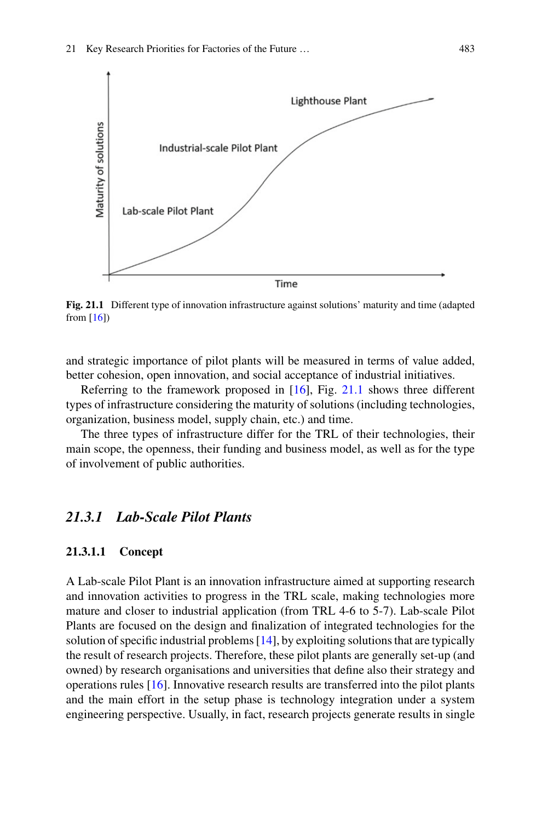

<span id="page-8-1"></span>**Fig. 21.1** Different type of innovation infrastructure against solutions' maturity and time (adapted from  $[16]$ 

and strategic importance of pilot plants will be measured in terms of value added, better cohesion, open innovation, and social acceptance of industrial initiatives.

Referring to the framework proposed in  $[16]$ , Fig. [21.1](#page-8-1) shows three different types of infrastructure considering the maturity of solutions (including technologies, organization, business model, supply chain, etc.) and time.

The three types of infrastructure differ for the TRL of their technologies, their main scope, the openness, their funding and business model, as well as for the type of involvement of public authorities.

# <span id="page-8-0"></span>*21.3.1 Lab-Scale Pilot Plants*

#### **21.3.1.1 Concept**

A Lab-scale Pilot Plant is an innovation infrastructure aimed at supporting research and innovation activities to progress in the TRL scale, making technologies more mature and closer to industrial application (from TRL 4-6 to 5-7). Lab-scale Pilot Plants are focused on the design and finalization of integrated technologies for the solution of specific industrial problems [\[14\]](#page-18-13), by exploiting solutions that are typically the result of research projects. Therefore, these pilot plants are generally set-up (and owned) by research organisations and universities that define also their strategy and operations rules [\[16\]](#page-18-15). Innovative research results are transferred into the pilot plants and the main effort in the setup phase is technology integration under a system engineering perspective. Usually, in fact, research projects generate results in single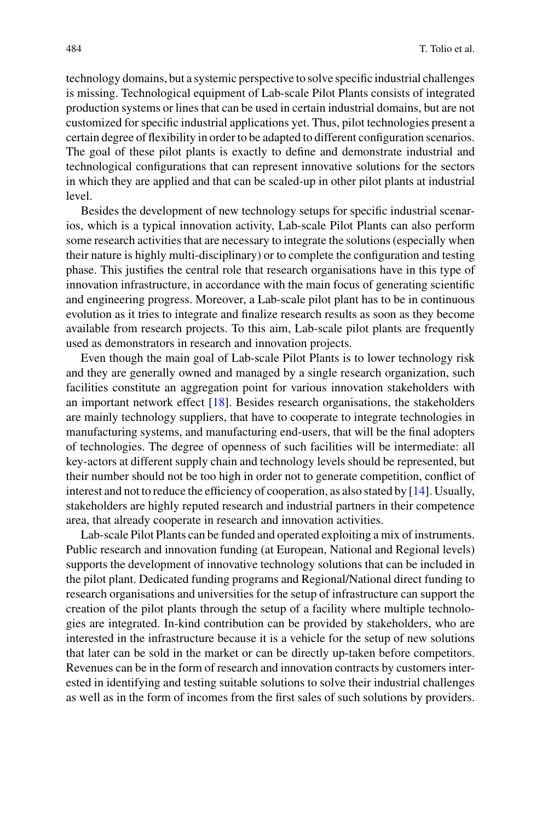technology domains, but a systemic perspective to solve specific industrial challenges is missing. Technological equipment of Lab-scale Pilot Plants consists of integrated production systems or lines that can be used in certain industrial domains, but are not customized for specific industrial applications yet. Thus, pilot technologies present a certain degree of flexibility in order to be adapted to different configuration scenarios. The goal of these pilot plants is exactly to define and demonstrate industrial and technological configurations that can represent innovative solutions for the sectors in which they are applied and that can be scaled-up in other pilot plants at industrial level.

Besides the development of new technology setups for specific industrial scenarios, which is a typical innovation activity, Lab-scale Pilot Plants can also perform some research activities that are necessary to integrate the solutions (especially when their nature is highly multi-disciplinary) or to complete the configuration and testing phase. This justifies the central role that research organisations have in this type of innovation infrastructure, in accordance with the main focus of generating scientific and engineering progress. Moreover, a Lab-scale pilot plant has to be in continuous evolution as it tries to integrate and finalize research results as soon as they become available from research projects. To this aim, Lab-scale pilot plants are frequently used as demonstrators in research and innovation projects.

Even though the main goal of Lab-scale Pilot Plants is to lower technology risk and they are generally owned and managed by a single research organization, such facilities constitute an aggregation point for various innovation stakeholders with an important network effect [\[18\]](#page-18-17). Besides research organisations, the stakeholders are mainly technology suppliers, that have to cooperate to integrate technologies in manufacturing systems, and manufacturing end-users, that will be the final adopters of technologies. The degree of openness of such facilities will be intermediate: all key-actors at different supply chain and technology levels should be represented, but their number should not be too high in order not to generate competition, conflict of interest and not to reduce the efficiency of cooperation, as also stated by  $[14]$ . Usually, stakeholders are highly reputed research and industrial partners in their competence area, that already cooperate in research and innovation activities.

Lab-scale Pilot Plants can be funded and operated exploiting a mix of instruments. Public research and innovation funding (at European, National and Regional levels) supports the development of innovative technology solutions that can be included in the pilot plant. Dedicated funding programs and Regional/National direct funding to research organisations and universities for the setup of infrastructure can support the creation of the pilot plants through the setup of a facility where multiple technologies are integrated. In-kind contribution can be provided by stakeholders, who are interested in the infrastructure because it is a vehicle for the setup of new solutions that later can be sold in the market or can be directly up-taken before competitors. Revenues can be in the form of research and innovation contracts by customers interested in identifying and testing suitable solutions to solve their industrial challenges as well as in the form of incomes from the first sales of such solutions by providers.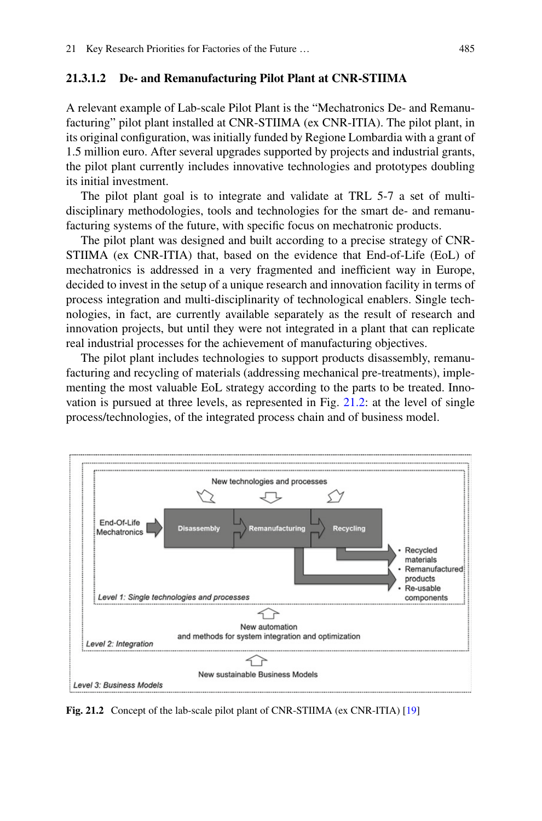#### **21.3.1.2 De- and Remanufacturing Pilot Plant at CNR-STIIMA**

A relevant example of Lab-scale Pilot Plant is the "Mechatronics De- and Remanufacturing" pilot plant installed at CNR-STIIMA (ex CNR-ITIA). The pilot plant, in its original configuration, was initially funded by Regione Lombardia with a grant of 1.5 million euro. After several upgrades supported by projects and industrial grants, the pilot plant currently includes innovative technologies and prototypes doubling its initial investment.

The pilot plant goal is to integrate and validate at TRL 5-7 a set of multidisciplinary methodologies, tools and technologies for the smart de- and remanufacturing systems of the future, with specific focus on mechatronic products.

The pilot plant was designed and built according to a precise strategy of CNR-STIIMA (ex CNR-ITIA) that, based on the evidence that End-of-Life (EoL) of mechatronics is addressed in a very fragmented and inefficient way in Europe, decided to invest in the setup of a unique research and innovation facility in terms of process integration and multi-disciplinarity of technological enablers. Single technologies, in fact, are currently available separately as the result of research and innovation projects, but until they were not integrated in a plant that can replicate real industrial processes for the achievement of manufacturing objectives.

The pilot plant includes technologies to support products disassembly, remanufacturing and recycling of materials (addressing mechanical pre-treatments), implementing the most valuable EoL strategy according to the parts to be treated. Innovation is pursued at three levels, as represented in Fig. [21.2:](#page-10-0) at the level of single process/technologies, of the integrated process chain and of business model.



<span id="page-10-0"></span>**Fig. 21.2** Concept of the lab-scale pilot plant of CNR-STIIMA (ex CNR-ITIA) [\[19\]](#page-18-18)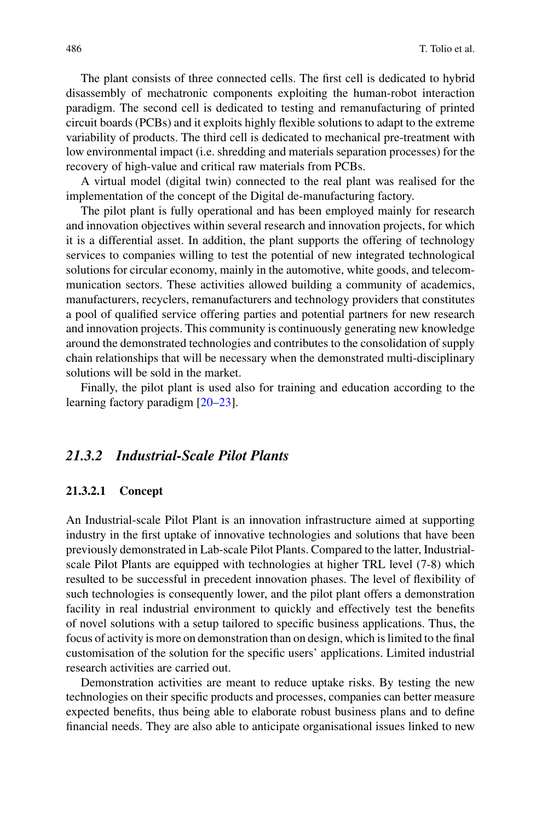The plant consists of three connected cells. The first cell is dedicated to hybrid disassembly of mechatronic components exploiting the human-robot interaction paradigm. The second cell is dedicated to testing and remanufacturing of printed circuit boards (PCBs) and it exploits highly flexible solutions to adapt to the extreme variability of products. The third cell is dedicated to mechanical pre-treatment with low environmental impact (i.e. shredding and materials separation processes) for the recovery of high-value and critical raw materials from PCBs.

A virtual model (digital twin) connected to the real plant was realised for the implementation of the concept of the Digital de-manufacturing factory.

The pilot plant is fully operational and has been employed mainly for research and innovation objectives within several research and innovation projects, for which it is a differential asset. In addition, the plant supports the offering of technology services to companies willing to test the potential of new integrated technological solutions for circular economy, mainly in the automotive, white goods, and telecommunication sectors. These activities allowed building a community of academics, manufacturers, recyclers, remanufacturers and technology providers that constitutes a pool of qualified service offering parties and potential partners for new research and innovation projects. This community is continuously generating new knowledge around the demonstrated technologies and contributes to the consolidation of supply chain relationships that will be necessary when the demonstrated multi-disciplinary solutions will be sold in the market.

Finally, the pilot plant is used also for training and education according to the learning factory paradigm [\[20–](#page-18-19)[23\]](#page-19-0).

# <span id="page-11-0"></span>*21.3.2 Industrial-Scale Pilot Plants*

#### **21.3.2.1 Concept**

An Industrial-scale Pilot Plant is an innovation infrastructure aimed at supporting industry in the first uptake of innovative technologies and solutions that have been previously demonstrated in Lab-scale Pilot Plants. Compared to the latter, Industrialscale Pilot Plants are equipped with technologies at higher TRL level (7-8) which resulted to be successful in precedent innovation phases. The level of flexibility of such technologies is consequently lower, and the pilot plant offers a demonstration facility in real industrial environment to quickly and effectively test the benefits of novel solutions with a setup tailored to specific business applications. Thus, the focus of activity is more on demonstration than on design, which is limited to the final customisation of the solution for the specific users' applications. Limited industrial research activities are carried out.

Demonstration activities are meant to reduce uptake risks. By testing the new technologies on their specific products and processes, companies can better measure expected benefits, thus being able to elaborate robust business plans and to define financial needs. They are also able to anticipate organisational issues linked to new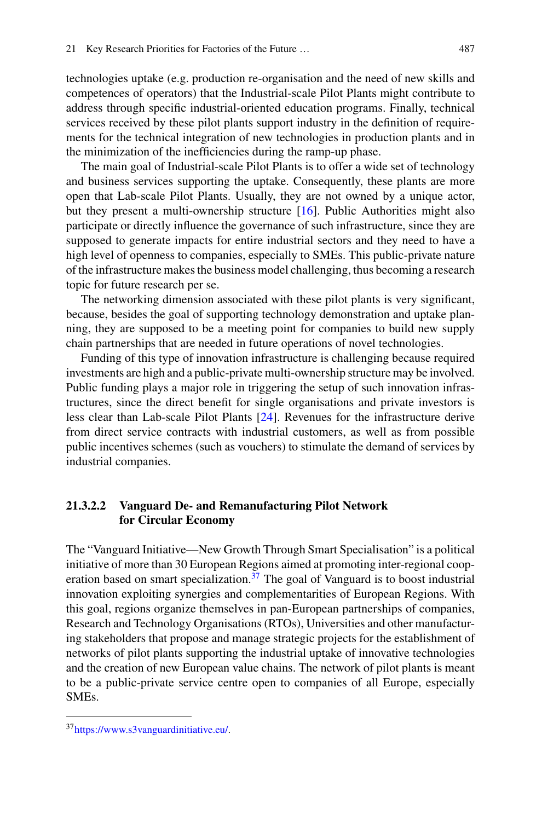technologies uptake (e.g. production re-organisation and the need of new skills and competences of operators) that the Industrial-scale Pilot Plants might contribute to address through specific industrial-oriented education programs. Finally, technical services received by these pilot plants support industry in the definition of requirements for the technical integration of new technologies in production plants and in the minimization of the inefficiencies during the ramp-up phase.

The main goal of Industrial-scale Pilot Plants is to offer a wide set of technology and business services supporting the uptake. Consequently, these plants are more open that Lab-scale Pilot Plants. Usually, they are not owned by a unique actor, but they present a multi-ownership structure [\[16\]](#page-18-15). Public Authorities might also participate or directly influence the governance of such infrastructure, since they are supposed to generate impacts for entire industrial sectors and they need to have a high level of openness to companies, especially to SMEs. This public-private nature of the infrastructure makes the business model challenging, thus becoming a research topic for future research per se.

The networking dimension associated with these pilot plants is very significant, because, besides the goal of supporting technology demonstration and uptake planning, they are supposed to be a meeting point for companies to build new supply chain partnerships that are needed in future operations of novel technologies.

Funding of this type of innovation infrastructure is challenging because required investments are high and a public-private multi-ownership structure may be involved. Public funding plays a major role in triggering the setup of such innovation infrastructures, since the direct benefit for single organisations and private investors is less clear than Lab-scale Pilot Plants [\[24\]](#page-19-1). Revenues for the infrastructure derive from direct service contracts with industrial customers, as well as from possible public incentives schemes (such as vouchers) to stimulate the demand of services by industrial companies.

### <span id="page-12-0"></span>**21.3.2.2 Vanguard De- and Remanufacturing Pilot Network for Circular Economy**

The "Vanguard Initiative—New Growth Through Smart Specialisation" is a political initiative of more than 30 European Regions aimed at promoting inter-regional cooperation based on smart specialization. $37$  The goal of Vanguard is to boost industrial innovation exploiting synergies and complementarities of European Regions. With this goal, regions organize themselves in pan-European partnerships of companies, Research and Technology Organisations (RTOs), Universities and other manufacturing stakeholders that propose and manage strategic projects for the establishment of networks of pilot plants supporting the industrial uptake of innovative technologies and the creation of new European value chains. The network of pilot plants is meant to be a public-private service centre open to companies of all Europe, especially SMEs.

<span id="page-12-1"></span><sup>3</sup>[7https://www.s3vanguardinitiative.eu/.](https://www.s3vanguardinitiative.eu/)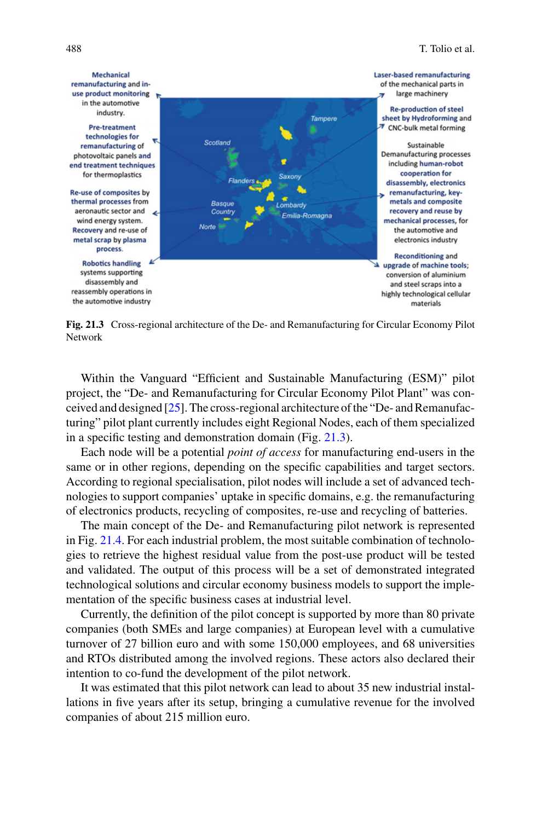

<span id="page-13-0"></span>**Fig. 21.3** Cross-regional architecture of the De- and Remanufacturing for Circular Economy Pilot Network

Within the Vanguard "Efficient and Sustainable Manufacturing (ESM)" pilot project, the "De- and Remanufacturing for Circular Economy Pilot Plant" was conceived and designed [\[25\]](#page-19-2). The cross-regional architecture of the "De- and Remanufacturing" pilot plant currently includes eight Regional Nodes, each of them specialized in a specific testing and demonstration domain (Fig. [21.3\)](#page-13-0).

Each node will be a potential *point of access* for manufacturing end-users in the same or in other regions, depending on the specific capabilities and target sectors. According to regional specialisation, pilot nodes will include a set of advanced technologies to support companies' uptake in specific domains, e.g. the remanufacturing of electronics products, recycling of composites, re-use and recycling of batteries.

The main concept of the De- and Remanufacturing pilot network is represented in Fig. [21.4.](#page-14-1) For each industrial problem, the most suitable combination of technologies to retrieve the highest residual value from the post-use product will be tested and validated. The output of this process will be a set of demonstrated integrated technological solutions and circular economy business models to support the implementation of the specific business cases at industrial level.

Currently, the definition of the pilot concept is supported by more than 80 private companies (both SMEs and large companies) at European level with a cumulative turnover of 27 billion euro and with some 150,000 employees, and 68 universities and RTOs distributed among the involved regions. These actors also declared their intention to co-fund the development of the pilot network.

It was estimated that this pilot network can lead to about 35 new industrial installations in five years after its setup, bringing a cumulative revenue for the involved companies of about 215 million euro.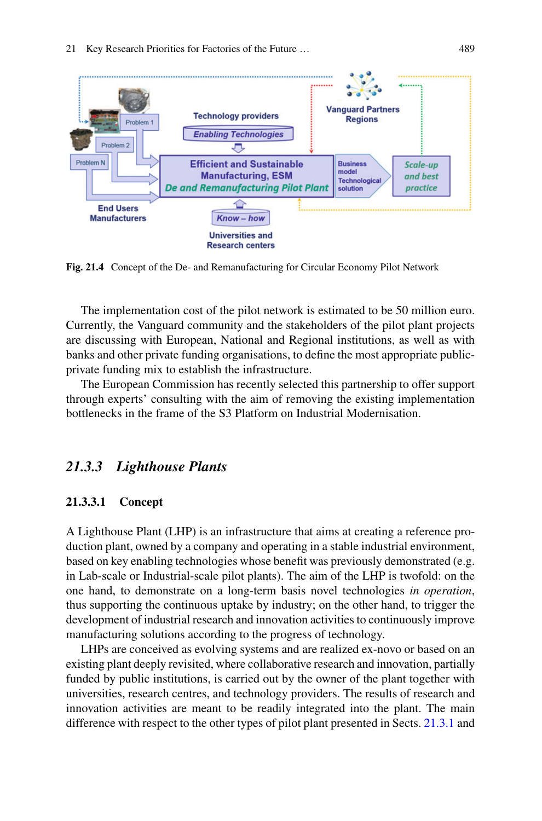

<span id="page-14-1"></span>**Fig. 21.4** Concept of the De- and Remanufacturing for Circular Economy Pilot Network

The implementation cost of the pilot network is estimated to be 50 million euro. Currently, the Vanguard community and the stakeholders of the pilot plant projects are discussing with European, National and Regional institutions, as well as with banks and other private funding organisations, to define the most appropriate publicprivate funding mix to establish the infrastructure.

The European Commission has recently selected this partnership to offer support through experts' consulting with the aim of removing the existing implementation bottlenecks in the frame of the S3 Platform on Industrial Modernisation.

## <span id="page-14-0"></span>*21.3.3 Lighthouse Plants*

### **21.3.3.1 Concept**

A Lighthouse Plant (LHP) is an infrastructure that aims at creating a reference production plant, owned by a company and operating in a stable industrial environment, based on key enabling technologies whose benefit was previously demonstrated (e.g. in Lab-scale or Industrial-scale pilot plants). The aim of the LHP is twofold: on the one hand, to demonstrate on a long-term basis novel technologies *in operation*, thus supporting the continuous uptake by industry; on the other hand, to trigger the development of industrial research and innovation activities to continuously improve manufacturing solutions according to the progress of technology.

LHPs are conceived as evolving systems and are realized ex-novo or based on an existing plant deeply revisited, where collaborative research and innovation, partially funded by public institutions, is carried out by the owner of the plant together with universities, research centres, and technology providers. The results of research and innovation activities are meant to be readily integrated into the plant. The main difference with respect to the other types of pilot plant presented in Sects. [21.3.1](#page-8-0) and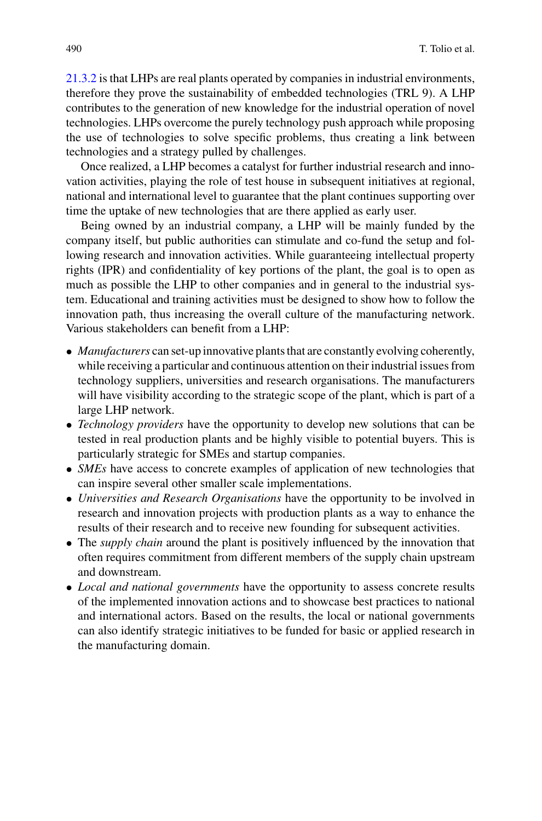[21.3.2](#page-11-0) is that LHPs are real plants operated by companies in industrial environments, therefore they prove the sustainability of embedded technologies (TRL 9). A LHP contributes to the generation of new knowledge for the industrial operation of novel technologies. LHPs overcome the purely technology push approach while proposing the use of technologies to solve specific problems, thus creating a link between technologies and a strategy pulled by challenges.

Once realized, a LHP becomes a catalyst for further industrial research and innovation activities, playing the role of test house in subsequent initiatives at regional, national and international level to guarantee that the plant continues supporting over time the uptake of new technologies that are there applied as early user.

Being owned by an industrial company, a LHP will be mainly funded by the company itself, but public authorities can stimulate and co-fund the setup and following research and innovation activities. While guaranteeing intellectual property rights (IPR) and confidentiality of key portions of the plant, the goal is to open as much as possible the LHP to other companies and in general to the industrial system. Educational and training activities must be designed to show how to follow the innovation path, thus increasing the overall culture of the manufacturing network. Various stakeholders can benefit from a LHP:

- *Manufacturers* can set-up innovative plants that are constantly evolving coherently, while receiving a particular and continuous attention on their industrial issues from technology suppliers, universities and research organisations. The manufacturers will have visibility according to the strategic scope of the plant, which is part of a large LHP network.
- *Technology providers* have the opportunity to develop new solutions that can be tested in real production plants and be highly visible to potential buyers. This is particularly strategic for SMEs and startup companies.
- *SMEs* have access to concrete examples of application of new technologies that can inspire several other smaller scale implementations.
- *Universities and Research Organisations* have the opportunity to be involved in research and innovation projects with production plants as a way to enhance the results of their research and to receive new founding for subsequent activities.
- The *supply chain* around the plant is positively influenced by the innovation that often requires commitment from different members of the supply chain upstream and downstream.
- *Local and national governments* have the opportunity to assess concrete results of the implemented innovation actions and to showcase best practices to national and international actors. Based on the results, the local or national governments can also identify strategic initiatives to be funded for basic or applied research in the manufacturing domain.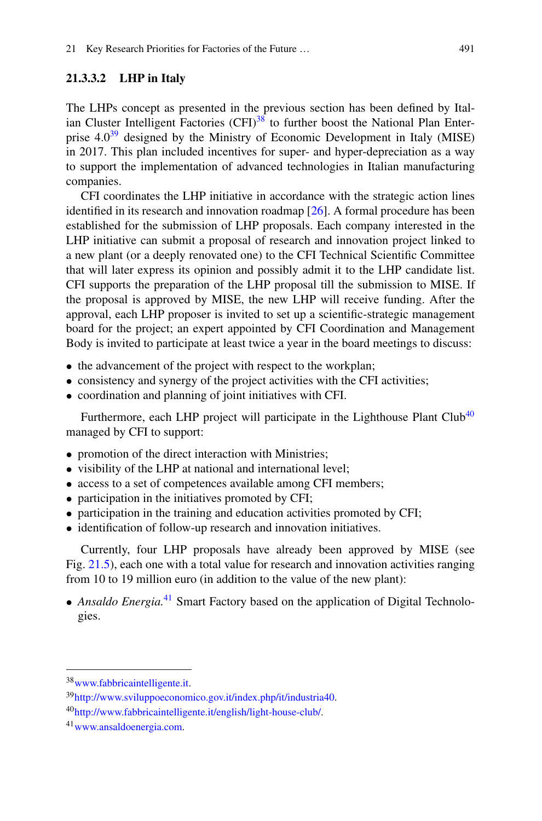#### <span id="page-16-0"></span>**21.3.3.2 LHP in Italy**

The LHPs concept as presented in the previous section has been defined by Italian Cluster Intelligent Factories  $(CFT)^{38}$  $(CFT)^{38}$  $(CFT)^{38}$  to further boost the National Plan Enterprise  $4.0^{39}$  designed by the Ministry of Economic Development in Italy (MISE) in 2017. This plan included incentives for super- and hyper-depreciation as a way to support the implementation of advanced technologies in Italian manufacturing companies.

CFI coordinates the LHP initiative in accordance with the strategic action lines identified in its research and innovation roadmap [\[26\]](#page-19-3). A formal procedure has been established for the submission of LHP proposals. Each company interested in the LHP initiative can submit a proposal of research and innovation project linked to a new plant (or a deeply renovated one) to the CFI Technical Scientific Committee that will later express its opinion and possibly admit it to the LHP candidate list. CFI supports the preparation of the LHP proposal till the submission to MISE. If the proposal is approved by MISE, the new LHP will receive funding. After the approval, each LHP proposer is invited to set up a scientific-strategic management board for the project; an expert appointed by CFI Coordination and Management Body is invited to participate at least twice a year in the board meetings to discuss:

- the advancement of the project with respect to the workplan;
- consistency and synergy of the project activities with the CFI activities;
- coordination and planning of joint initiatives with CFI.

Furthermore, each LHP project will participate in the Lighthouse Plant Club<sup>[40](#page-16-3)</sup> managed by CFI to support:

- promotion of the direct interaction with Ministries;
- visibility of the LHP at national and international level;
- access to a set of competences available among CFI members;
- participation in the initiatives promoted by CFI;
- participation in the training and education activities promoted by CFI;
- identification of follow-up research and innovation initiatives.

Currently, four LHP proposals have already been approved by MISE (see Fig. [21.5\)](#page-17-0), each one with a total value for research and innovation activities ranging from 10 to 19 million euro (in addition to the value of the new plant):

• *Ansaldo Energia*.<sup>[41](#page-16-4)</sup> Smart Factory based on the application of Digital Technologies.

<span id="page-16-1"></span><sup>3</sup>[8www.fabbricaintelligente.it.](http://www.fabbricaintelligente.it)

<span id="page-16-2"></span><sup>3</sup>[9http://www.sviluppoeconomico.gov.it/index.php/it/industria40.](http://www.sviluppoeconomico.gov.it/index.php/it/industria40)

<span id="page-16-3"></span><sup>4</sup>[0http://www.fabbricaintelligente.it/english/light-house-club/.](http://www.fabbricaintelligente.it/english/light-house-club/)

<span id="page-16-4"></span><sup>4</sup>[1www.ansaldoenergia.com.](http://www.ansaldoenergia.com)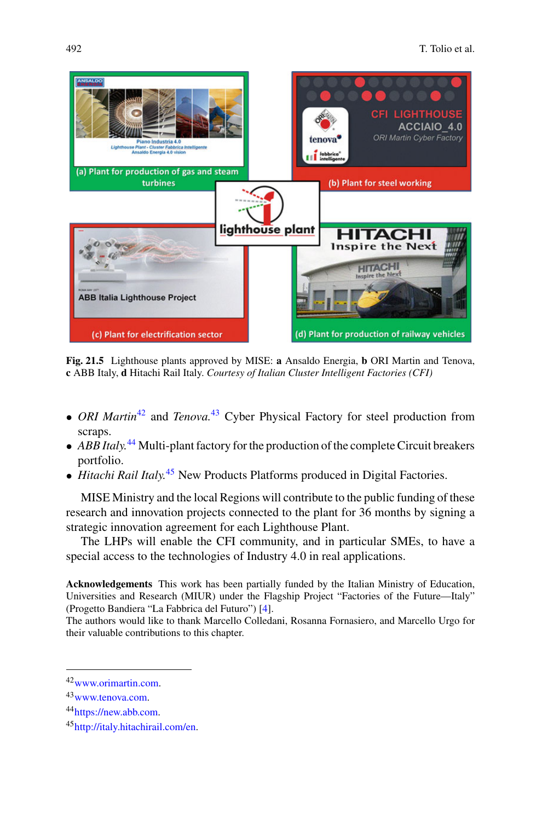

**Fig. 21.5** Lighthouse plants approved by MISE: **a** Ansaldo Energia, **b** ORI Martin and Tenova, **c** ABB Italy, **d** Hitachi Rail Italy. *Courtesy of Italian Cluster Intelligent Factories (CFI)*

- <span id="page-17-0"></span>• *ORI Martin*<sup>[42](#page-17-1)</sup> and *Tenova*.<sup>[43](#page-17-2)</sup> Cyber Physical Factory for steel production from scraps.
- *ABB Italy.*<sup>[44](#page-17-3)</sup> Multi-plant factory for the production of the complete Circuit breakers portfolio.
- *Hitachi Rail Italy.*<sup>[45](#page-17-4)</sup> New Products Platforms produced in Digital Factories.

MISE Ministry and the local Regions will contribute to the public funding of these research and innovation projects connected to the plant for 36 months by signing a strategic innovation agreement for each Lighthouse Plant.

The LHPs will enable the CFI community, and in particular SMEs, to have a special access to the technologies of Industry 4.0 in real applications.

**Acknowledgements** This work has been partially funded by the Italian Ministry of Education, Universities and Research (MIUR) under the Flagship Project "Factories of the Future—Italy" (Progetto Bandiera "La Fabbrica del Futuro") [\[4\]](#page-18-3).

The authors would like to thank Marcello Colledani, Rosanna Fornasiero, and Marcello Urgo for their valuable contributions to this chapter.

<span id="page-17-1"></span><sup>4</sup>[2www.orimartin.com.](http://www.orimartin.com)

<span id="page-17-2"></span><sup>4</sup>[3www.tenova.com.](http://www.tenova.com)

<span id="page-17-3"></span><sup>4</sup>[4https://new.abb.com.](https://new.abb.com)

<span id="page-17-4"></span><sup>4</sup>[5http://italy.hitachirail.com/en.](http://italy.hitachirail.com/en)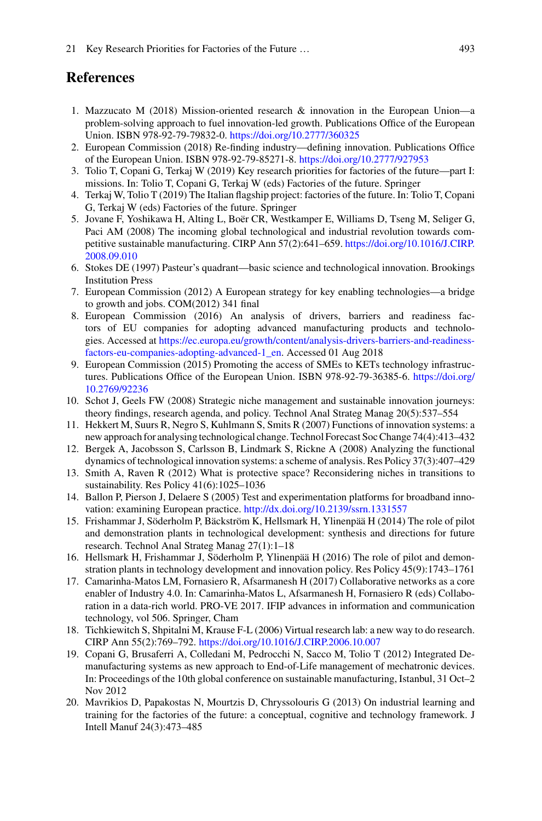21 Key Research Priorities for Factories of the Future … 493

# **References**

- <span id="page-18-0"></span>1. Mazzucato M (2018) Mission-oriented research & innovation in the European Union—a problem-solving approach to fuel innovation-led growth. Publications Office of the European Union. ISBN 978-92-79-79832-0. <https://doi.org/10.2777/360325>
- <span id="page-18-1"></span>2. European Commission (2018) Re-finding industry—defining innovation. Publications Office of the European Union. ISBN 978-92-79-85271-8. <https://doi.org/10.2777/927953>
- <span id="page-18-2"></span>3. Tolio T, Copani G, Terkaj W (2019) Key research priorities for factories of the future—part I: missions. In: Tolio T, Copani G, Terkaj W (eds) Factories of the future. Springer
- <span id="page-18-3"></span>4. Terkaj W, Tolio T (2019) The Italian flagship project: factories of the future. In: Tolio T, Copani G, Terkaj W (eds) Factories of the future. Springer
- <span id="page-18-4"></span>5. Jovane F, Yoshikawa H, Alting L, Boër CR, Westkamper E, Williams D, Tseng M, Seliger G, Paci AM (2008) The incoming global technological and industrial revolution towards com[petitive sustainable manufacturing. CIRP Ann 57\(2\):641–659.](https://doi.org/10.1016/J.CIRP.2008.09.010) https://doi.org/10.1016/J.CIRP. 2008.09.010
- <span id="page-18-5"></span>6. Stokes DE (1997) Pasteur's quadrant—basic science and technological innovation. Brookings Institution Press
- <span id="page-18-6"></span>7. European Commission (2012) A European strategy for key enabling technologies—a bridge to growth and jobs. COM(2012) 341 final
- <span id="page-18-7"></span>8. European Commission (2016) An analysis of drivers, barriers and readiness factors of EU companies for adopting advanced manufacturing products and technologies. Accessed at [https://ec.europa.eu/growth/content/analysis-drivers-barriers-and-readiness](https://ec.europa.eu/growth/content/analysis-drivers-barriers-and-readiness-factors-eu-companies-adopting-advanced-1_en)factors-eu-companies-adopting-advanced-1\_en. Accessed 01 Aug 2018
- <span id="page-18-8"></span>9. European Commission (2015) Promoting the access of SMEs to KETs technology infrastruc[tures. Publications Office of the European Union. ISBN 978-92-79-36385-6.](https://doi.org/10.2769/92236) https://doi.org/ 10.2769/92236
- <span id="page-18-9"></span>10. Schot J, Geels FW (2008) Strategic niche management and sustainable innovation journeys: theory findings, research agenda, and policy. Technol Anal Strateg Manag 20(5):537–554
- <span id="page-18-10"></span>11. Hekkert M, Suurs R, Negro S, Kuhlmann S, Smits R (2007) Functions of innovation systems: a new approach for analysing technological change. Technol Forecast Soc Change 74(4):413–432
- <span id="page-18-11"></span>12. Bergek A, Jacobsson S, Carlsson B, Lindmark S, Rickne A (2008) Analyzing the functional dynamics of technological innovation systems: a scheme of analysis. Res Policy 37(3):407–429
- <span id="page-18-12"></span>13. Smith A, Raven R (2012) What is protective space? Reconsidering niches in transitions to sustainability. Res Policy 41(6):1025–1036
- <span id="page-18-13"></span>14. Ballon P, Pierson J, Delaere S (2005) Test and experimentation platforms for broadband innovation: examining European practice. <http://dx.doi.org/10.2139/ssrn.1331557>
- <span id="page-18-14"></span>15. Frishammar J, Söderholm P, Bäckström K, Hellsmark H, Ylinenpää H (2014) The role of pilot and demonstration plants in technological development: synthesis and directions for future research. Technol Anal Strateg Manag 27(1):1–18
- <span id="page-18-15"></span>16. Hellsmark H, Frishammar J, Söderholm P, Ylinenpää H (2016) The role of pilot and demonstration plants in technology development and innovation policy. Res Policy 45(9):1743–1761
- <span id="page-18-16"></span>17. Camarinha-Matos LM, Fornasiero R, Afsarmanesh H (2017) Collaborative networks as a core enabler of Industry 4.0. In: Camarinha-Matos L, Afsarmanesh H, Fornasiero R (eds) Collaboration in a data-rich world. PRO-VE 2017. IFIP advances in information and communication technology, vol 506. Springer, Cham
- <span id="page-18-17"></span>18. Tichkiewitch S, Shpitalni M, Krause F-L (2006) Virtual research lab: a new way to do research. CIRP Ann 55(2):769–792. <https://doi.org/10.1016/J.CIRP.2006.10.007>
- <span id="page-18-18"></span>19. Copani G, Brusaferri A, Colledani M, Pedrocchi N, Sacco M, Tolio T (2012) Integrated Demanufacturing systems as new approach to End-of-Life management of mechatronic devices. In: Proceedings of the 10th global conference on sustainable manufacturing, Istanbul, 31 Oct–2 Nov 2012
- <span id="page-18-19"></span>20. Mavrikios D, Papakostas N, Mourtzis D, Chryssolouris G (2013) On industrial learning and training for the factories of the future: a conceptual, cognitive and technology framework. J Intell Manuf 24(3):473–485